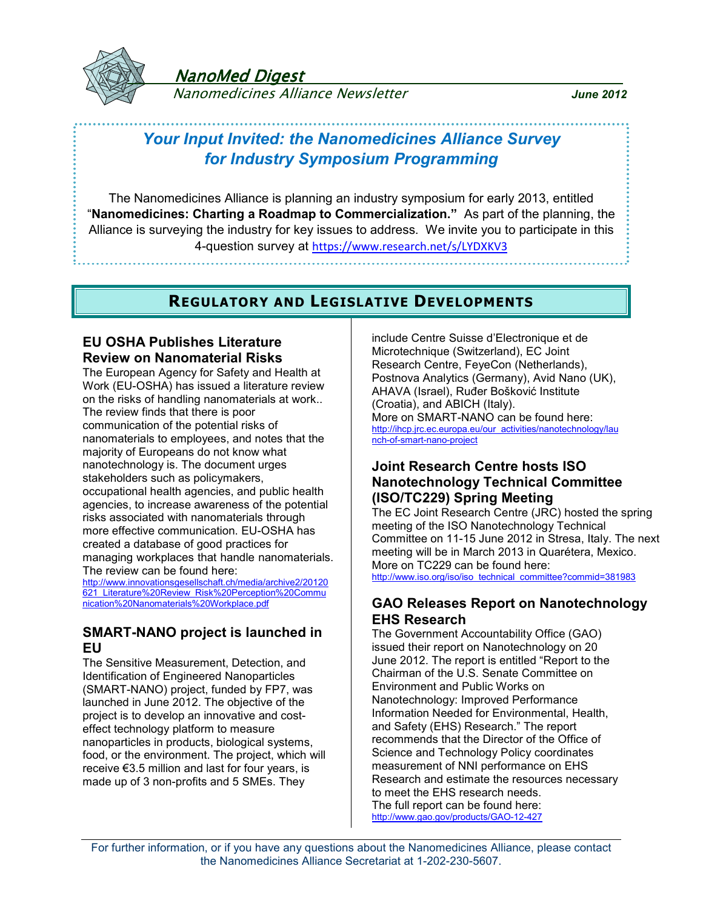

NanoMed Digest

Nanomedicines Alliance Newsletter *June 2012*

# *Your Input Invited: the Nanomedicines Alliance Survey for Industry Symposium Programming*

The Nanomedicines Alliance is planning an industry symposium for early 2013, entitled "**Nanomedicines: Charting a Roadmap to Commercialization."** As part of the planning, the Alliance is surveying the industry for key issues to address. We invite you to participate in this 4-question survey at https://www.research.net/s/LYDXKV3

## **REGULATORY AND LEGISLATIVE DEVELOPMENTS**

## **EU OSHA Publishes Literature Review on Nanomaterial Risks**

The European Agency for Safety and Health at Work (EU-OSHA) has issued a literature review on the risks of handling nanomaterials at work.. The review finds that there is poor communication of the potential risks of nanomaterials to employees, and notes that the majority of Europeans do not know what nanotechnology is. The document urges stakeholders such as policymakers, occupational health agencies, and public health agencies, to increase awareness of the potential risks associated with nanomaterials through more effective communication. EU-OSHA has created a database of good practices for managing workplaces that handle nanomaterials. The review can be found here:

[http://www.innovationsgesellschaft.ch/media/archive2/20120](http://www.innovationsgesellschaft.ch/media/archive2/20120621_Literature Review_Risk Perception Communication Nanomaterials Workplace.pdf) 621 Literature%20Review\_Risk%20Perception%20Commu [nication%20Nanomaterials%20Workplace.pdf](http://www.innovationsgesellschaft.ch/media/archive2/20120621_Literature Review_Risk Perception Communication Nanomaterials Workplace.pdf)

## **SMART-NANO project is launched in EU**

The Sensitive Measurement, Detection, and Identification of Engineered Nanoparticles (SMART-NANO) project, funded by FP7, was launched in June 2012. The objective of the project is to develop an innovative and costeffect technology platform to measure nanoparticles in products, biological systems, food, or the environment. The project, which will receive €3.5 million and last for four years, is made up of 3 non-profits and 5 SMEs. They

include Centre Suisse d'Electronique et de Microtechnique (Switzerland), EC Joint Research Centre, FeyeCon (Netherlands), Postnova Analytics (Germany), Avid Nano (UK), AHAVA (Israel), Ruđer Bošković Institute (Croatia), and ABICH (Italy). More on SMART-NANO can be found here: [http://ihcp.jrc.ec.europa.eu/our\\_activities/nanotechnology/lau](http://ihcp.jrc.ec.europa.eu/our_activities/nanotechnology/launch-of-smart-nano-project) [nch-of-smart-nano-project](http://ihcp.jrc.ec.europa.eu/our_activities/nanotechnology/launch-of-smart-nano-project)

## **Joint Research Centre hosts ISO Nanotechnology Technical Committee (ISO/TC229) Spring Meeting**

The EC Joint Research Centre (JRC) hosted the spring meeting of the ISO Nanotechnology Technical Committee on 11-15 June 2012 in Stresa, Italy. The next meeting will be in March 2013 in Quarétera, Mexico. More on TC229 can be found here: [http://www.iso.org/iso/iso\\_technical\\_committee?commid=381983](http://www.iso.org/iso/iso_technical_committee?commid=381983)

### **GAO Releases Report on Nanotechnology EHS Research**

The Government Accountability Office (GAO) issued their report on Nanotechnology on 20 June 2012. The report is entitled "Report to the Chairman of the U.S. Senate Committee on Environment and Public Works on Nanotechnology: Improved Performance Information Needed for Environmental, Health, and Safety (EHS) Research." The report recommends that the Director of the Office of Science and Technology Policy coordinates measurement of NNI performance on EHS Research and estimate the resources necessary to meet the EHS research needs. The full report can be found here: <http://www.gao.gov/products/GAO-12-427>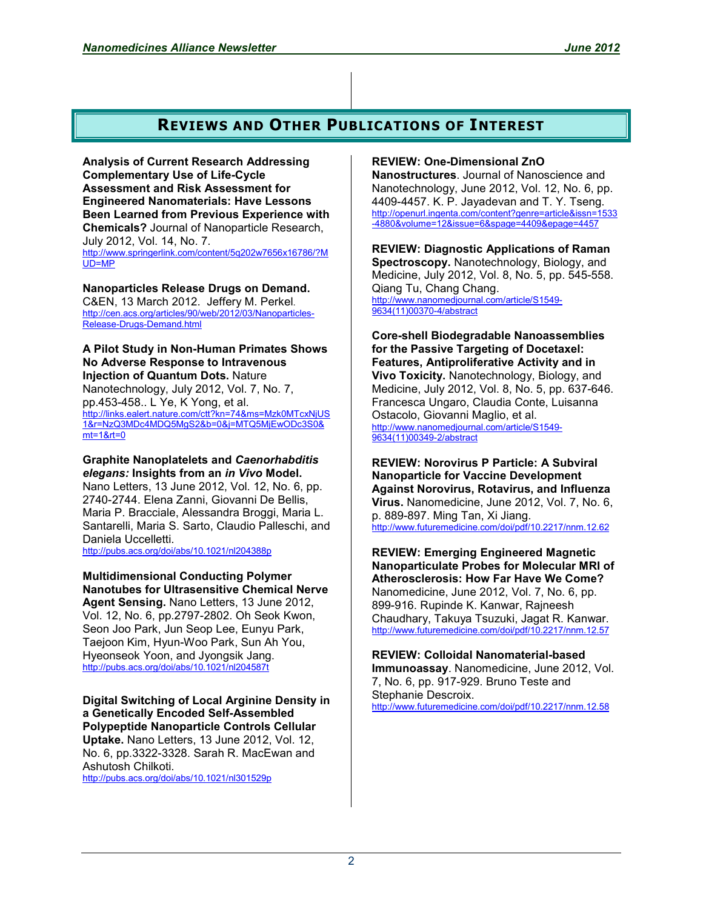## **REVIEWS AND OTHER PUBLICATIONS OF INTEREST**

**Analysis of Current Research Addressing Complementary Use of Life-Cycle Assessment and Risk Assessment for Engineered Nanomaterials: Have Lessons Been Learned from Previous Experience with Chemicals?** Journal of Nanoparticle Research, July 2012, Vol. 14, No. 7. [http://www.springerlink.com/content/5q202w7656x16786/?M](http://www.springerlink.com/content/5q202w7656x16786/?MUD=MP) [UD=MP](http://www.springerlink.com/content/5q202w7656x16786/?MUD=MP)

**Nanoparticles Release Drugs on Demand.**  C&EN, 13 March 2012. Jeffery M. Perkel. [http://cen.acs.org/articles/90/web/2012/03/Nanoparticles-](http://cen.acs.org/articles/90/web/2012/03/Nanoparticles-Release-Drugs-Demand.html)[Release-Drugs-Demand.html](http://cen.acs.org/articles/90/web/2012/03/Nanoparticles-Release-Drugs-Demand.html)

#### **A Pilot Study in Non-Human Primates Shows No Adverse Response to Intravenous Injection of Quantum Dots.** Nature Nanotechnology, July 2012, Vol. 7, No. 7, pp.453-458.. L Ye, K Yong, et al. [http://links.ealert.nature.com/ctt?kn=74&ms=Mzk0MTcxNjUS](http://links.ealert.nature.com/ctt?kn=74&ms=Mzk0MTcxNjUS1&r=NzQ3MDc4MDQ5MgS2&b=0&j=MTQ5MjEwODc3S0&mt=1&rt=0) [1&r=NzQ3MDc4MDQ5MgS2&b=0&j=MTQ5MjEwODc3S0&](http://links.ealert.nature.com/ctt?kn=74&ms=Mzk0MTcxNjUS1&r=NzQ3MDc4MDQ5MgS2&b=0&j=MTQ5MjEwODc3S0&mt=1&rt=0) [mt=1&rt=0](http://links.ealert.nature.com/ctt?kn=74&ms=Mzk0MTcxNjUS1&r=NzQ3MDc4MDQ5MgS2&b=0&j=MTQ5MjEwODc3S0&mt=1&rt=0)

**Graphite Nanoplatelets and** *Caenorhabditis elegans:* **Insights from an** *in Vivo* **Model.**  Nano Letters, 13 June 2012, Vol. 12, No. 6, pp. 2740-2744. Elena Zanni, Giovanni De Bellis, Maria P. Bracciale, Alessandra Broggi, Maria L. Santarelli, Maria S. Sarto, Claudio Palleschi, and Daniela Uccelletti. <http://pubs.acs.org/doi/abs/10.1021/nl204388p>

**Multidimensional Conducting Polymer Nanotubes for Ultrasensitive Chemical Nerve** 

**Agent Sensing.** Nano Letters, 13 June 2012, Vol. 12, No. 6, pp.2797-2802. Oh Seok Kwon, Seon Joo Park, Jun Seop Lee, Eunyu Park, Taejoon Kim, Hyun-Woo Park, Sun Ah You, Hyeonseok Yoon, and Jyongsik Jang. <http://pubs.acs.org/doi/abs/10.1021/nl204587t>

**Digital Switching of Local Arginine Density in a Genetically Encoded Self-Assembled Polypeptide Nanoparticle Controls Cellular Uptake.** Nano Letters, 13 June 2012, Vol. 12, No. 6, pp.3322-3328. Sarah R. MacEwan and Ashutosh Chilkoti.

<http://pubs.acs.org/doi/abs/10.1021/nl301529p>

### **REVIEW: One-Dimensional ZnO**

**Nanostructures**. Journal of Nanoscience and Nanotechnology, June 2012, Vol. 12, No. 6, pp. 4409-4457. K. P. Jayadevan and T. Y. Tseng. [http://openurl.ingenta.com/content?genre=article&issn=1533](http://openurl.ingenta.com/content?genre=article&issn=1533-4880&volume=12&issue=6&spage=4409&epage=4457) [-4880&volume=12&issue=6&spage=4409&epage=4457](http://openurl.ingenta.com/content?genre=article&issn=1533-4880&volume=12&issue=6&spage=4409&epage=4457)

**REVIEW: Diagnostic Applications of Raman Spectroscopy.** Nanotechnology, Biology, and Medicine, July 2012, Vol. 8, No. 5, pp. 545-558. Qiang Tu, Chang Chang. [http://www.nanomedjournal.com/article/S1549-](http://www.nanomedjournal.com/article/S1549-9634(11)00370-4/abstract) [9634\(11\)00370-4/abstract](http://www.nanomedjournal.com/article/S1549-9634(11)00370-4/abstract)

**Core-shell Biodegradable Nanoassemblies for the Passive Targeting of Docetaxel: Features, Antiproliferative Activity and in Vivo Toxicity.** Nanotechnology, Biology, and Medicine, July 2012, Vol. 8, No. 5, pp. 637-646. Francesca Ungaro, Claudia Conte, Luisanna Ostacolo, Giovanni Maglio, et al. [http://www.nanomedjournal.com/article/S1549-](http://www.nanomedjournal.com/article/S1549-9634(11)00349-2/abstract) [9634\(11\)00349-2/abstract](http://www.nanomedjournal.com/article/S1549-9634(11)00349-2/abstract)

**REVIEW: Norovirus P Particle: A Subviral Nanoparticle for Vaccine Development Against Norovirus, Rotavirus, and Influenza Virus.** Nanomedicine, June 2012, Vol. 7, No. 6, p. 889-897. Ming Tan, Xi Jiang. <http://www.futuremedicine.com/doi/pdf/10.2217/nnm.12.62>

**REVIEW: Emerging Engineered Magnetic Nanoparticulate Probes for Molecular MRI of Atherosclerosis: How Far Have We Come?**  Nanomedicine, June 2012, Vol. 7, No. 6, pp. 899-916. Rupinde K. Kanwar, Rajneesh Chaudhary, Takuya Tsuzuki, Jagat R. Kanwar. <http://www.futuremedicine.com/doi/pdf/10.2217/nnm.12.57>

**REVIEW: Colloidal Nanomaterial-based Immunoassay**. Nanomedicine, June 2012, Vol. 7, No. 6, pp. 917-929. Bruno Teste and Stephanie Descroix. <http://www.futuremedicine.com/doi/pdf/10.2217/nnm.12.58>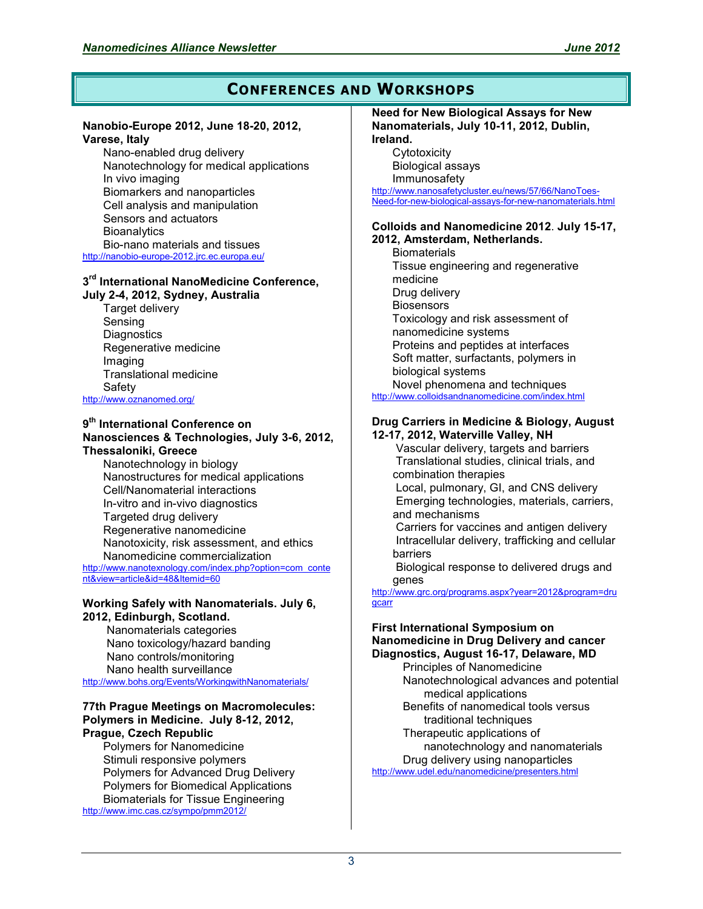## **CONFERENCES AND WORKSHOPS**

#### **Nanobio-Europe 2012, June 18-20, 2012, Varese, Italy**

Nano-enabled drug delivery Nanotechnology for medical applications In vivo imaging Biomarkers and nanoparticles Cell analysis and manipulation Sensors and actuators **Bioanalytics** Bio-nano materials and tissues <http://nanobio-europe-2012.jrc.ec.europa.eu/>

#### **3 rd International NanoMedicine Conference, July 2-4, 2012, Sydney, Australia**

Target delivery Sensing **Diagnostics** Regenerative medicine Imaging Translational medicine Safety

<http://www.oznanomed.org/>

#### **9 th International Conference on Nanosciences & Technologies, July 3-6, 2012, Thessaloniki, Greece**

Nanotechnology in biology Nanostructures for medical applications Cell/Nanomaterial interactions In-vitro and in-vivo diagnostics Targeted drug delivery Regenerative nanomedicine Nanotoxicity, risk assessment, and ethics Nanomedicine commercialization [http://www.nanotexnology.com/index.php?option=com\\_conte](http://www.nanotexnology.com/index.php?option=com_content&view=article&id=48&Itemid=60) [nt&view=article&id=48&Itemid=60](http://www.nanotexnology.com/index.php?option=com_content&view=article&id=48&Itemid=60)

#### **Working Safely with Nanomaterials. July 6, 2012, Edinburgh, Scotland.**

 Nanomaterials categories Nano toxicology/hazard banding Nano controls/monitoring Nano health surveillance <http://www.bohs.org/Events/WorkingwithNanomaterials/>

#### **77th Prague Meetings on Macromolecules: Polymers in Medicine. July 8-12, 2012, Prague, Czech Republic**

Polymers for Nanomedicine Stimuli responsive polymers Polymers for Advanced Drug Delivery Polymers for Biomedical Applications Biomaterials for Tissue Engineering <http://www.imc.cas.cz/sympo/pmm2012/>

#### **Need for New Biological Assays for New Nanomaterials, July 10-11, 2012, Dublin, Ireland.**

**Cytotoxicity** Biological assays Immunosafety [http://www.nanosafetycluster.eu/news/57/66/NanoToes-](http://www.nanosafetycluster.eu/news/57/66/NanoToes-Need-for-new-biological-assays-for-new-nanomaterials.html)[Need-for-new-biological-assays-for-new-nanomaterials.html](http://www.nanosafetycluster.eu/news/57/66/NanoToes-Need-for-new-biological-assays-for-new-nanomaterials.html)

#### **Colloids and Nanomedicine 2012**. **July 15-17, 2012, Amsterdam, Netherlands.**

**Biomaterials** Tissue engineering and regenerative medicine Drug delivery **Biosensors** Toxicology and risk assessment of nanomedicine systems Proteins and peptides at interfaces Soft matter, surfactants, polymers in biological systems Novel phenomena and techniques <http://www.colloidsandnanomedicine.com/index.html>

#### **Drug Carriers in Medicine & Biology, August 12-17, 2012, Waterville Valley, NH**

 Vascular delivery, targets and barriers Translational studies, clinical trials, and combination therapies Local, pulmonary, GI, and CNS delivery Emerging technologies, materials, carriers, and mechanisms Carriers for vaccines and antigen delivery Intracellular delivery, trafficking and cellular barriers

 Biological response to delivered drugs and genes

[http://www.grc.org/programs.aspx?year=2012&program=dru](http://www.grc.org/programs.aspx?year=2012&program=drugcarr) **[gcarr](http://www.grc.org/programs.aspx?year=2012&program=drugcarr)** 

#### **First International Symposium on Nanomedicine in Drug Delivery and cancer Diagnostics, August 16-17, Delaware, MD**

Principles of Nanomedicine Nanotechnological advances and potential medical applications Benefits of nanomedical tools versus traditional techniques Therapeutic applications of nanotechnology and nanomaterials Drug delivery using nanoparticles <http://www.udel.edu/nanomedicine/presenters.html>